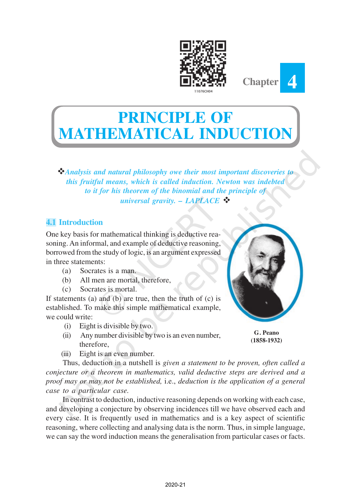



# **PRINCIPLE OF MEMATICAL INDUCT**

v*Analysis and natural philosophy owe their most important discoveries to this fruitful means, which is called induction. Newton was indebted to it for his theorem of the binomial and the principle of universal gravity. – LAPLACE*  $\mathbf{\hat{P}}$ 

# **4.1 Introduction**

One key basis for mathematical thinking is deductive reasoning. An informal, and example of deductive reasoning, borrowed from the study of logic, is an argument expressed in three statements:

- (a) Socrates is a man.
- (b) All men are mortal, therefore,
- (c) Socrates is mortal.

If statements (a) and (b) are true, then the truth of (c) is established. To make this simple mathematical example, we could write:

- (i) Eight is divisible by two.
- (ii) Any number divisible by two is an even number, therefore,
- **G. Peano (1858-1932)**

(iii) Eight is an even number.

Thus, deduction in a nutshell is *given a statement to be proven, often called a conjecture or a theorem in mathematics, valid deductive steps are derived and a proof may or may not be established,* i.e., *deduction is the application of a general case to a particular case.*

In contrast to deduction, inductive reasoning depends on working with each case, and developing a conjecture by observing incidences till we have observed each and every case. It is frequently used in mathematics and is a key aspect of scientific reasoning, where collecting and analysing data is the norm. Thus, in simple language, we can say the word induction means the generalisation from particular cases or facts.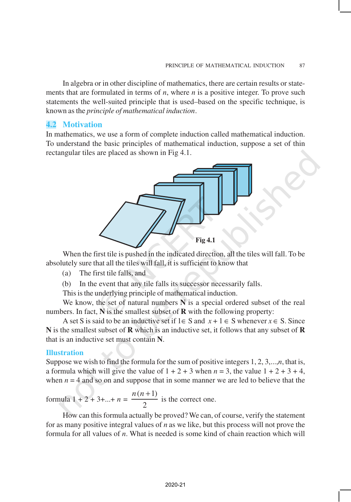In algebra or in other discipline of mathematics, there are certain results or statements that are formulated in terms of *n*, where *n* is a positive integer. To prove such statements the well-suited principle that is used–based on the specific technique, is known as the *principle of mathematical induction*.

## **4.2 Motivation**

In mathematics, we use a form of complete induction called mathematical induction. To understand the basic principles of mathematical induction, suppose a set of thin rectangular tiles are placed as shown in Fig 4.1.



When the first tile is pushed in the indicated direction, all the tiles will fall. To be absolutely sure that all the tiles will fall, it is sufficient to know that

- (a) The first tile falls, and
- (b) In the event that any tile falls its successor necessarily falls.

This is the underlying principle of mathematical induction.

We know, the set of natural numbers **N** is a special ordered subset of the real numbers. In fact, **N** is the smallest subset of **R** with the following property:

A set S is said to be an inductive set if  $1 \in S$  and  $x + 1 \in S$  whenever  $x \in S$ . Since **N** is the smallest subset of **R** which is an inductive set, it follows that any subset of **R** that is an inductive set must contain **N**.

### **Illustration**

Suppose we wish to find the formula for the sum of positive integers 1, 2, 3,...,*n*, that is, a formula which will give the value of  $1 + 2 + 3$  when  $n = 3$ , the value  $1 + 2 + 3 + 4$ , when  $n = 4$  and so on and suppose that in some manner we are led to believe that the

formula  $1 + 2 + 3 + ... + n = \frac{n(n+1)}{2}$ 2  $\frac{n(n+1)}{2}$  is the correct one.

How can this formula actually be proved? We can, of course, verify the statement for as many positive integral values of *n* as we like, but this process will not prove the formula for all values of *n*. What is needed is some kind of chain reaction which will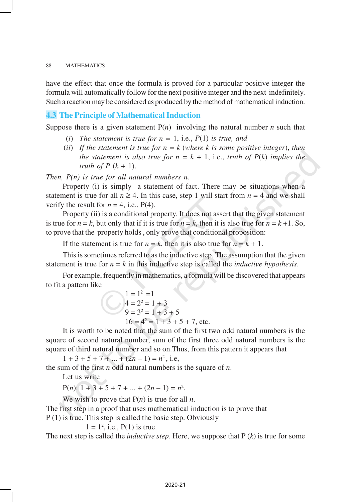have the effect that once the formula is proved for a particular positive integer the formula will automatically follow for the next positive integer and the next indefinitely. Such a reaction may be considered as produced by the method of mathematical induction.

## **4.3 The Principle of Mathematical Induction**

Suppose there is a given statement  $P(n)$  involving the natural number *n* such that

- (*i*) *The statement is true for*  $n = 1$ *, i.e.,*  $P(1)$  *is true, and*
- (*ii*) *If the statement is true for n = k* (*where k is some positive integer*), *then the statement is also true for*  $n = k + 1$ *, i.e., truth of*  $P(k)$  *implies the truth of P*  $(k + 1)$ .

*Then, P(n) is true for all natural numbers n.*

Property (i) is simply a statement of fact. There may be situations when a statement is true for all  $n \ge 4$ . In this case, step 1 will start from  $n = 4$  and we shall verify the result for  $n = 4$ , i.e.,  $P(4)$ .

Property (ii) is a conditional property. It does not assert that the given statement is true for  $n = k$ , but only that if it is true for  $n = k$ , then it is also true for  $n = k + 1$ . So, to prove that the property holds , only prove that conditional proposition:

If the statement is true for  $n = k$ , then it is also true for  $n = k + 1$ .

This is sometimes referred to as the inductive step. The assumption that the given statement is true for  $n = k$  in this inductive step is called the *inductive hypothesis*.

For example, frequently in mathematics, a formula will be discovered that appears to fit a pattern like

$$
1 = 12 = 1
$$
  
\n
$$
4 = 22 = 1 + 3
$$
  
\n
$$
9 = 32 = 1 + 3 + 5
$$
  
\n
$$
16 = 42 = 1 + 3 + 5 + 7
$$
, etc.

It is worth to be noted that the sum of the first two odd natural numbers is the square of second natural number, sum of the first three odd natural numbers is the square of third natural number and so on.Thus, from this pattern it appears that

 $1 + 3 + 5 + 7 + \dots + (2n - 1) = n^2$ , i.e,

the sum of the first *n* odd natural numbers is the square of *n*.

Let us write

 $P(n)$ :  $1 + 3 + 5 + 7 + ... + (2n - 1) = n^2$ .

We wish to prove that P(*n*) is true for all *n*.

The first step in a proof that uses mathematical induction is to prove that

P (1) is true. This step is called the basic step. Obviously

 $1 = 1^2$ , i.e.,  $P(1)$  is true.

The next step is called the *inductive step*. Here, we suppose that P (*k*) is true for some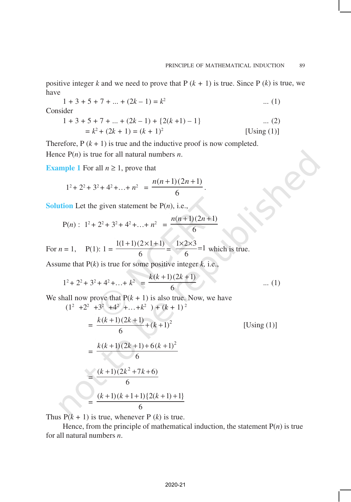positive integer *k* and we need to prove that  $P(k + 1)$  is true. Since  $P(k)$  is true, we have

$$
1 + 3 + 5 + 7 + \dots + (2k - 1) = k^2 \qquad \dots (1)
$$

Consider

$$
1 + 3 + 5 + 7 + \dots + (2k - 1) + \{2(k + 1) - 1\} \qquad \dots (2)
$$
  
=  $k^2 + (2k + 1) = (k + 1)^2$  [Using (1)]

.

Therefore,  $P(k + 1)$  is true and the inductive proof is now completed. Hence  $P(n)$  is true for all natural numbers *n*.

**Example 1** For all  $n \geq 1$ , prove that

$$
1^2 + 2^2 + 3^2 + 4^2 + \dots + n^2 = \frac{n(n+1)(2n+1)}{6}
$$

**Solution** Let the given statement be  $P(n)$ , i.e.,

$$
P(n): 12 + 22 + 32 + 42 + ... + n2 = \frac{n(n+1)(2n+1)}{6}
$$

For 
$$
n = 1
$$
,  $P(1): 1 = \frac{1(1+1)(2\times1+1)}{6} = \frac{1\times2\times3}{6} = 1$  which is true.

Assume that P(*k*) is true for some positive integer *k,* i.e.,

$$
1^{2} + 2^{2} + 3^{2} + 4^{2} + \ldots + k^{2} = \frac{k(k+1)(2k+1)}{6}
$$
 ... (1)

We shall now prove that  $P(k + 1)$  is also true. Now, we have

$$
(12 +22 +32 +42 +...+k2) + (k + 1)2
$$
  
= 
$$
\frac{k(k+1)(2k+1)}{6} + (k+1)2
$$
 [Using (1)]  
= 
$$
\frac{k(k+1)(2k+1)+6(k+1)2}{6}
$$
  
= 
$$
\frac{(k+1)(2k2+7k+6)}{6}
$$
  
= 
$$
\frac{(k+1)(k+1+1){2(k+1)+1}}{6}
$$

Thus  $P(k + 1)$  is true, whenever P (*k*) is true.

Hence, from the principle of mathematical induction, the statement  $P(n)$  is true for all natural numbers *n*.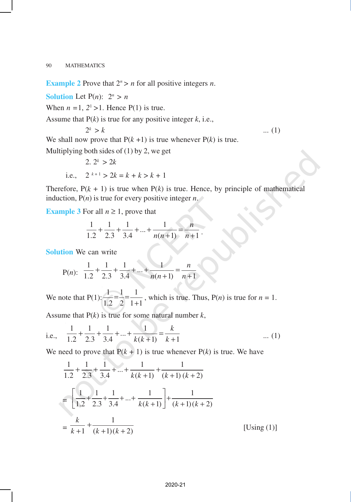**Example 2** Prove that  $2^n > n$  for all positive integers *n*.

**Solution** Let  $P(n)$ :  $2^n > n$ 

When  $n = 1$ ,  $2<sup>1</sup> > 1$ . Hence P(1) is true.

Assume that P(*k*) is true for any positive integer *k*, i.e.,

 $2^k > k$  $k > k$  ... (1) We shall now prove that  $P(k + 1)$  is true whenever  $P(k)$  is true.

Multiplying both sides of  $(1)$  by 2, we get

2. 
$$
2^k > 2k
$$
  
i.e.,  $2^{k+1} > 2k = k + k > k + 1$ 

Therefore,  $P(k + 1)$  is true when  $P(k)$  is true. Hence, by principle of mathematical induction, P(*n*) is true for every positive integer *n*.

**Example 3** For all  $n \geq 1$ , prove that

$$
\frac{1}{1.2} + \frac{1}{2.3} + \frac{1}{3.4} + \dots + \frac{1}{n(n+1)} = \frac{n}{n+1}.
$$

**Solution** We can write

P(n): 
$$
\frac{1}{1.2} + \frac{1}{2.3} + \frac{1}{3.4} + \dots + \frac{1}{n(n+1)} = \frac{n}{n+1}
$$

We note that  $P(1)$  $1.2 \quad 2 \quad 1+1$  $= -\frac{1}{2}$ which is true. Thus,  $P(n)$  is true for  $n = 1$ .

Assume that  $P(k)$  is true for some natural number  $k$ ,

i.e., 
$$
\frac{1}{1.2} + \frac{1}{2.3} + \frac{1}{3.4} + \dots + \frac{1}{k(k+1)} = \frac{k}{k+1}
$$
 ... (1)

We need to prove that  $P(k + 1)$  is true whenever  $P(k)$  is true. We have

$$
\frac{1}{1.2} + \frac{1}{2.3} + \frac{1}{3.4} + \dots + \frac{1}{k(k+1)} + \frac{1}{(k+1)(k+2)}
$$
  
= 
$$
\left[ \frac{1}{1.2} + \frac{1}{2.3} + \frac{1}{3.4} + \dots + \frac{1}{k(k+1)} \right] + \frac{1}{(k+1)(k+2)}
$$
  
= 
$$
\frac{k}{k+1} + \frac{1}{(k+1)(k+2)}
$$
 [Using (1)]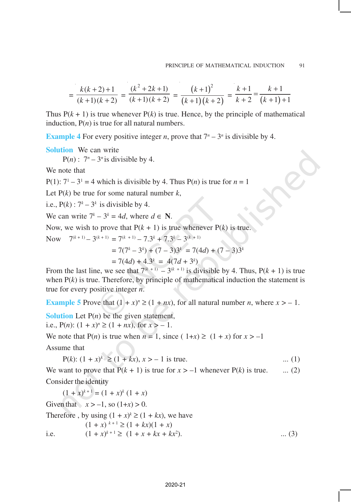$$
= \frac{k(k+2)+1}{(k+1)(k+2)} = \frac{(k^2+2k+1)}{(k+1)(k+2)} = \frac{(k+1)^2}{(k+1)(k+2)} = \frac{k+1}{k+2} = \frac{k+1}{(k+1)+1}
$$

Thus  $P(k + 1)$  is true whenever  $P(k)$  is true. Hence, by the principle of mathematical induction,  $P(n)$  is true for all natural numbers.

**Example 4** For every positive integer *n*, prove that  $7^n - 3^n$  is divisible by 4.

**Solution** We can write

 $P(n)$ :  $7^n - 3^n$  is divisible by 4.

We note that

P(1):  $7^1 - 3^1 = 4$  which is divisible by 4. Thus P(*n*) is true for  $n = 1$ 

Let  $P(k)$  be true for some natural number  $k$ ,

i.e.,  $P(k): 7^k - 3^k$  is divisible by 4.

We can write  $7^k - 3^k = 4d$ , where  $d \in \mathbb{N}$ .

Now, we wish to prove that  $P(k + 1)$  is true whenever  $P(k)$  is true.

Now  $7^{(k+1)} - 3^{(k+1)} = 7^{(k+1)} - 7 \cdot 3^k + 7 \cdot 3^k - 3^{(k+1)}$ 

$$
= 7(7k - 3k) + (7 - 3)3k = 7(4d) + (7 - 3)3k
$$

$$
= 7(4d) + 4.3^k = 4(7d + 3^k)
$$

From the last line, we see that  $7^{(k+1)} - 3^{(k+1)}$  is divisible by 4. Thus,  $P(k + 1)$  is true when  $P(k)$  is true. Therefore, by principle of mathematical induction the statement is true for every positive integer *n*.

**Example 5** Prove that  $(1 + x)^n \ge (1 + nx)$ , for all natural number *n*, where  $x > -1$ .

**Solution** Let  $P(n)$  be the given statement,

i.e.,  $P(n)$ :  $(1 + x)^n \ge (1 + nx)$ , for  $x > -1$ .

We note that  $P(n)$  is true when  $n = 1$ , since  $(1+x) \ge (1+x)$  for  $x > -1$ 

Assume that

$$
P(k): (1 + x)^k \ge (1 + kx), x > -1 \text{ is true.}
$$
 ... (1)

We want to prove that  $P(k + 1)$  is true for  $x > -1$  whenever  $P(k)$  is true. ... (2) Consider the identity

 $(1 + x)^{k+1} = (1 + x)^k (1 + x)$ 

Given that  $x > -1$ , so  $(1+x) > 0$ .

Therefore , by using  $(1 + x)^k \ge (1 + kx)$ , we have

 $(1 + x)^{k+1} \geq (1 + kx)(1 + x)$ i.e.  $(1 + x)^{k+1} \ge (1 + x + kx + kx^2)$ ). ... (3)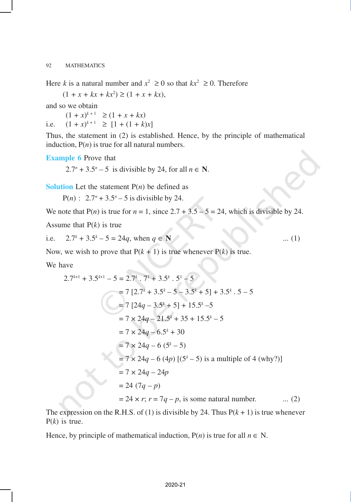Here *k* is a natural number and  $x^2 \ge 0$  so that  $kx^2 \ge 0$ . Therefore

 $(1 + x + kx + kx^2) \ge (1 + x + kx),$ 

and so we obtain

 $(1 + x)^{k+1} \ge (1 + x + kx)$ i.e.  $(1 + x)^{k+1} \geq [1 + (1 + k)x]$ 

Thus, the statement in (2) is established. Hence, by the principle of mathematical induction,  $P(n)$  is true for all natural numbers.

**Example 6** Prove that

2.7<sup>*n*</sup> + 3.5<sup>*n*</sup> – 5 is divisible by 24, for all  $n \in \mathbb{N}$ .

**Solution** Let the statement  $P(n)$  be defined as

 $P(n)$ :  $2.7^n + 3.5^n - 5$  is divisible by 24.

We note that  $P(n)$  is true for  $n = 1$ , since  $2.7 + 3.5 - 5 = 24$ , which is divisible by 24.

Assume that P(*k*) is true

i.e. 
$$
2.7^k + 3.5^k - 5 = 24q
$$
, when  $q \in \mathbb{N}$  ... (1)

Now, we wish to prove that  $P(k + 1)$  is true whenever  $P(k)$  is true.

We have

$$
2.7^{k+1} + 3.5^{k+1} - 5 = 2.7^k \cdot 7^1 + 3.5^k \cdot 5^1 - 5
$$
  
= 7 [2.7<sup>k</sup> + 3.5<sup>k</sup> - 5 - 3.5<sup>k</sup> + 5] + 3.5<sup>k</sup> \cdot 5 - 5  
= 7 [24q - 3.5<sup>k</sup> + 5] + 15.5<sup>k</sup> - 5  
= 7 \times 24q - 21.5<sup>k</sup> + 35 + 15.5<sup>k</sup> - 5  
= 7 \times 24q - 6.5<sup>k</sup> + 30  
= 7 \times 24q - 6 (5<sup>k</sup> - 5)  
= 7 \times 24q - 6 (4p) [(5<sup>k</sup> - 5) is a multiple of 4 (why?)]  
= 7 \times 24q - 24p  
= 24 (7q - p)  
= 24 \times r; r = 7q - p, is some natural number. ... (2)

The expression on the R.H.S. of (1) is divisible by 24. Thus  $P(k + 1)$  is true whenever P(*k*) is true.

Hence, by principle of mathematical induction,  $P(n)$  is true for all  $n \in N$ .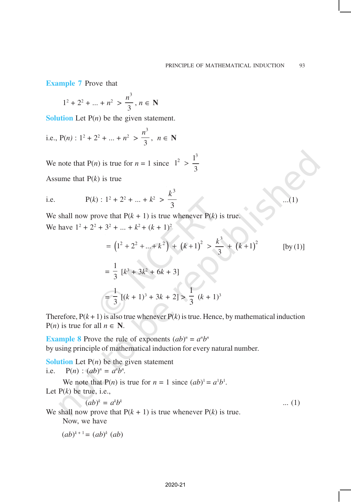...(1)

**Example 7** Prove that

$$
1^2 + 2^2 + \dots + n^2 > \frac{n^3}{3}, n \in \mathbb{N}
$$

**Solution** Let P(*n*) be the given statement.

i.e., 
$$
P(n): 1^2 + 2^2 + ... + n^2 > \frac{n^3}{3}, n \in \mathbb{N}
$$

We note that P(n) is true for 
$$
n = 1
$$
 since  $1^2 > \frac{1^3}{3}$ 

Assume that P(*k*) is true

i.e. 
$$
P(k): 1^2 + 2^2 + ... + k^2 > \frac{k^3}{3}
$$

We shall now prove that  $P(k + 1)$  is true whenever  $P(k)$  is true.

We have 
$$
1^2 + 2^2 + 3^2 + \dots + k^2 + (k+1)^2
$$

$$
= (12 + 22 + ... + k2) + (k+1)2 > \frac{k3}{3} + (k+1)2
$$
 [by (1)]  

$$
= \frac{1}{3} [k3 + 3k2 + 6k + 3]
$$
  

$$
= \frac{1}{3} [(k+1)3 + 3k + 2] > \frac{1}{3} (k+1)3
$$

Therefore,  $P(k + 1)$  is also true whenever  $P(k)$  is true. Hence, by mathematical induction  $P(n)$  is true for all  $n \in \mathbb{N}$ .

**Example 8** Prove the rule of exponents  $(ab)^n = a^n b^n$ by using principle of mathematical induction for every natural number.

**Solution** Let  $P(n)$  be the given statement i.e.  $P(n) : (ab)^n = a^n b^n$ .

We note that  $P(n)$  is true for  $n = 1$  since  $(ab)^1 = a^1b^1$ . Let  $P(k)$  be true, i.e.,

$$
(ab)^k = a^k b^k \tag{1}
$$

We shall now prove that  $P(k + 1)$  is true whenever  $P(k)$  is true.

Now, we have

$$
(ab)^{k+1} = (ab)^k (ab)
$$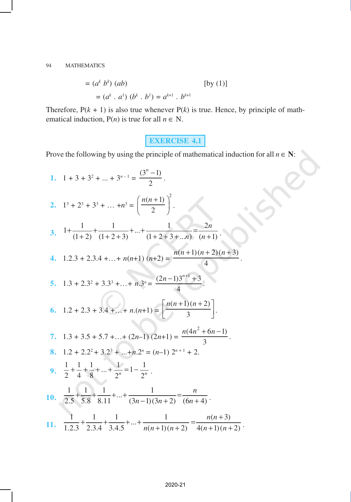$$
= (ak bk) (ab)
$$
 [by (1)]  

$$
= (ak . a1) (bk . b1) = ak+1 . bk+1
$$

Therefore,  $P(k + 1)$  is also true whenever  $P(k)$  is true. Hence, by principle of mathematical induction,  $P(n)$  is true for all  $n \in N$ .

## **EXERCISE 4.1**

ISYE

Prove the following by using the principle of mathematical induction for all  $n \in \mathbb{N}$ :

1. 
$$
1 + 3 + 3^2 + ... + 3^{n-1} = \frac{(3^n - 1)}{2}
$$
.  
\n2.  $1^3 + 2^3 + 3^3 + ... + n^3 = \left(\frac{n(n+1)}{2}\right)^2$ .  
\n3.  $1 + \frac{1}{(1+2)} + \frac{1}{(1+2+3)} + ... + \frac{1}{(1+2+3+...n)} = \frac{2n}{(n+1)}$ .  
\n4.  $1.2.3 + 2.3.4 + ... + n(n+1)(n+2) = \frac{n(n+1)(n+2)(n+3)}{4}$ .  
\n5.  $1.3 + 2.3^2 + 3.3^3 + ... + n.3^n = \frac{(2n-1)3^{n+1}+3}{4}$ .  
\n6.  $1.2 + 2.3 + 3.4 + ... + n.(n+1) = \left[\frac{n(n+1)(n+2)}{3}\right]$ .  
\n7.  $1.3 + 3.5 + 5.7 + ... + (2n-1)(2n+1) = \frac{n(4n^2 + 6n - 1)}{3}$ .  
\n8.  $1.2 + 2.2^2 + 3.2^3 + ... + n.2^n = (n-1) 2^{n+1} + 2$ .  
\n9.  $\frac{1}{2} + \frac{1}{4} + \frac{1}{8} + ... + \frac{1}{2^n} = 1 - \frac{1}{2^n}$ .  
\n10.  $\frac{1}{2.5} + \frac{1}{5.8} + \frac{1}{8.11} + ... + \frac{1}{(3n-1)(3n+2)} = \frac{n}{(6n+4)}$ .  
\n11.  $\frac{1}{1.2.3} + \frac{1}{2.3.4} + \frac{1}{3.4.5} + ... + \frac{1}{n(n+1)(n+2)} = \frac{n(n+3)}{4(n+1)(n+2)}$ .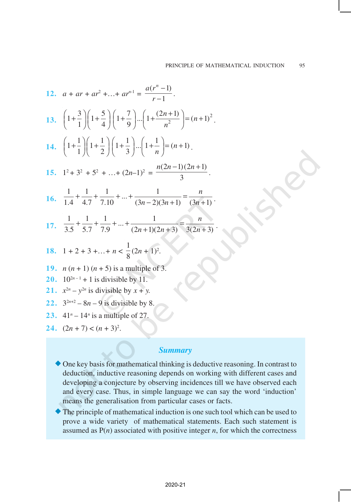12. 
$$
a + ar + ar^2 + ... + ar^{n-1} = \frac{a(r^n - 1)}{r - 1}
$$
.  
\n13.  $\left(1 + \frac{3}{1}\right)\left(1 + \frac{5}{4}\right)\left(1 + \frac{7}{9}\right)...\left(1 + \frac{(2n+1)}{n^2}\right) = (n+1)^2$ .  
\n14.  $\left(1 + \frac{1}{1}\right)\left(1 + \frac{1}{2}\right)\left(1 + \frac{1}{3}\right)...\left(1 + \frac{1}{n}\right) = (n+1)$ .  
\n15.  $1^2 + 3^2 + 5^2 + ... + (2n-1)^2 = \frac{n(2n-1)(2n+1)}{3}$ .  
\n16.  $\frac{1}{1.4} + \frac{1}{4.7} + \frac{1}{7.10} + ... + \frac{1}{(3n-2)(3n+1)} = \frac{n}{(3n+1)}$ .  
\n17.  $\frac{1}{3.5} + \frac{1}{5.7} + \frac{1}{7.9} + ... + \frac{1}{(2n+1)(2n+3)} = \frac{n}{3(2n+3)}$ .  
\n18.  $1 + 2 + 3 + ... + n < \frac{1}{8}(2n+1)^2$ .  
\n19.  $n(n+1)(n+5)$  is a multiple of 3.  
\n20.  $10^{2n-1} + 1$  is divisible by  $x + y$ .  
\n22.  $3^{2n+2} - 8n - 9$  is divisible by  $x + y$ .  
\n23.  $41^n - 14^n$  is a multiple of 27.

24. 
$$
(2n + 7) < (n + 3)^2
$$
.

## *Summary*

- $\blacklozenge$  One key basis for mathematical thinking is deductive reasoning. In contrast to deduction, inductive reasoning depends on working with different cases and developing a conjecture by observing incidences till we have observed each and every case. Thus, in simple language we can say the word 'induction' means the generalisation from particular cases or facts.
- ®The principle of mathematical induction is one such tool which can be used to prove a wide variety of mathematical statements. Each such statement is assumed as  $P(n)$  associated with positive integer  $n$ , for which the correctness